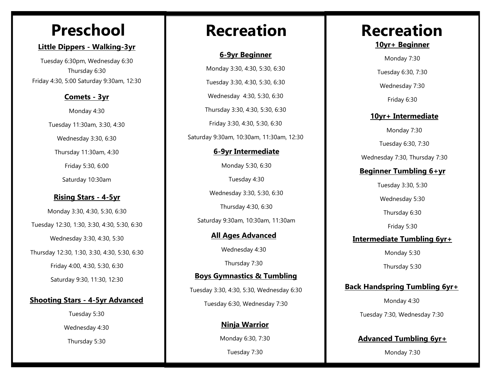#### **Little Dippers - Walking-3yr**

Tuesday 6:30pm, Wednesday 6:30 Thursday 6:30 Friday 4:30, 5:00 Saturday 9:30am, 12:30

#### **Comets - 3yr**

Monday 4:30 Tuesday 11:30am, 3:30, 4:30 Wednesday 3:30, 6:30 Thursday 11:30am, 4:30

> Friday 5:30, 6:00 Saturday 10:30am

#### **Rising Stars - 4-5yr**

Monday 3:30, 4:30, 5:30, 6:30 Tuesday 12:30, 1:30, 3:30, 4:30, 5:30, 6:30 Wednesday 3:30, 4:30, 5:30 Thursday 12:30, 1:30, 3:30, 4:30, 5:30, 6:30 Friday 4:00, 4:30, 5:30, 6:30 Saturday 9:30, 11:30, 12:30

#### **Shooting Stars - 4-5yr Advanced**

Tuesday 5:30 Wednesday 4:30 Thursday 5:30

#### **6-9yr Beginner**

**6-9yr Intermediate** Monday 5:30, 6:30 Monday 3:30, 4:30, 5:30, 6:30 Tuesday 3:30, 4:30, 5:30, 6:30 Wednesday 4:30, 5:30, 6:30 Thursday 3:30, 4:30, 5:30, 6:30 Friday 3:30, 4:30, 5:30, 6:30 Saturday 9:30am, 10:30am, 11:30am, 12:30

Tuesday 4:30

Wednesday 3:30, 5:30, 6:30

Thursday 4:30, 6:30

Saturday 9:30am, 10:30am, 11:30am

**All Ages Advanced**

Wednesday 4:30

Thursday 7:30

**Boys Gymnastics & Tumbling** Tuesday 3:30, 4:30, 5:30, Wednesday 6:30

Tuesday 6:30, Wednesday 7:30

**Ninja Warrior**

Monday 6:30, 7:30

Tuesday 7:30

## Preschool | Recreation | Recreation

**10yr+ Beginner**

Monday 7:30

Tuesday 6:30, 7:30

Wednesday 7:30

Friday 6:30

#### **10yr+ Intermediate**

Monday 7:30

Tuesday 6:30, 7:30

Wednesday 7:30, Thursday 7:30

### **Beginner Tumbling 6+yr**

Tuesday 3:30, 5:30

Wednesday 5:30

Thursday 6:30

Friday 5:30

**Intermediate Tumbling 6yr+**

Monday 5:30

Thursday 5:30

#### **Back Handspring Tumbling 6yr+**

Monday 4:30 Tuesday 7:30, Wednesday 7:30

### **Advanced Tumbling 6yr+**

Monday 7:30